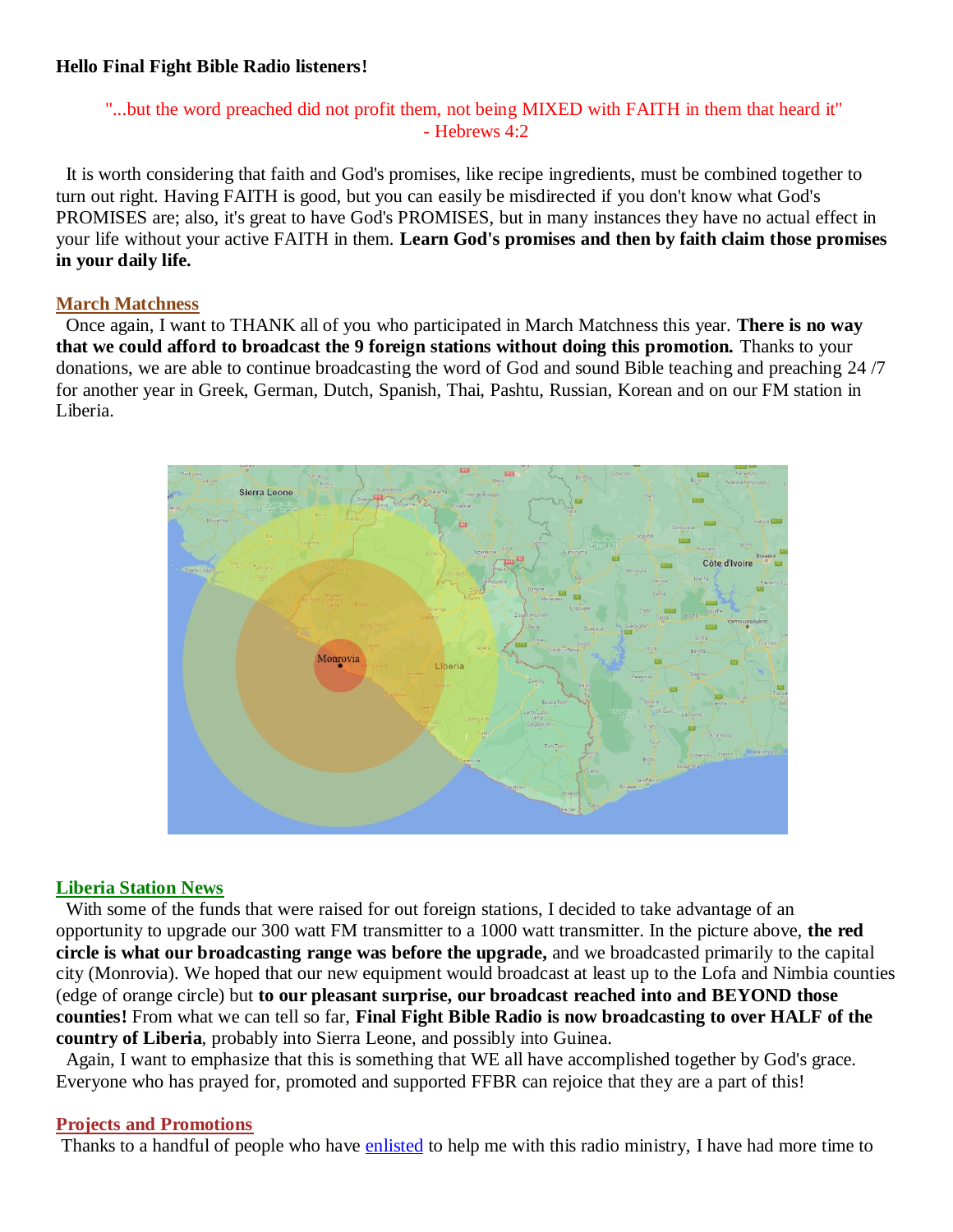### **Hello Final Fight Bible Radio listeners!**

# "...but the word preached did not profit them, not being MIXED with FAITH in them that heard it" - Hebrews 4:2

 It is worth considering that faith and God's promises, like recipe ingredients, must be combined together to turn out right. Having FAITH is good, but you can easily be misdirected if you don't know what God's PROMISES are; also, it's great to have God's PROMISES, but in many instances they have no actual effect in your life without your active FAITH in them. **Learn God's promises and then by faith claim those promises in your daily life.**

#### **March Matchness**

Once again, I want to THANK all of you who participated in March Matchness this year. **There is no way that we could afford to broadcast the 9 foreign stations without doing this promotion.** Thanks to your donations, we are able to continue broadcasting the word of God and sound Bible teaching and preaching 24 /7 for another year in Greek, German, Dutch, Spanish, Thai, Pashtu, Russian, Korean and on our FM station in Liberia.



### **Liberia Station News**

With some of the funds that were raised for out foreign stations, I decided to take advantage of an opportunity to upgrade our 300 watt FM transmitter to a 1000 watt transmitter. In the picture above, **the red circle is what our broadcasting range was before the upgrade,** and we broadcasted primarily to the capital city (Monrovia). We hoped that our new equipment would broadcast at least up to the Lofa and Nimbia counties (edge of orange circle) but **to our pleasant surprise, our broadcast reached into and BEYOND those counties!** From what we can tell so far, **Final Fight Bible Radio is now broadcasting to over HALF of the country of Liberia**, probably into Sierra Leone, and possibly into Guinea.

Again, I want to emphasize that this is something that WE all have accomplished together by God's grace. Everyone who has prayed for, promoted and supported FFBR can rejoice that they are a part of this!

### **Projects and Promotions**

Thanks to a handful of people who have [enlisted](https://finalfightbibleradio.com/ffbr-enlistment/) to help me with this radio ministry, I have had more time to